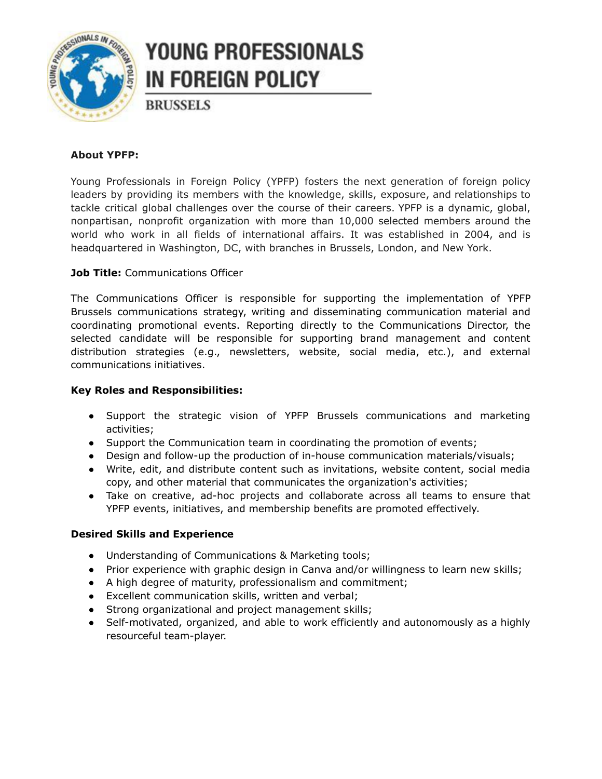

# **YOUNG PROFESSIONALS IN FOREIGN POLICY**

**BRUSSELS** 

## **About YPFP:**

Young Professionals in Foreign Policy (YPFP) fosters the next generation of foreign policy leaders by providing its members with the knowledge, skills, exposure, and relationships to tackle critical global challenges over the course of their careers. YPFP is a dynamic, global, nonpartisan, nonprofit organization with more than 10,000 selected members around the world who work in all fields of international affairs. It was established in 2004, and is headquartered in Washington, DC, with branches in Brussels, London, and New York.

## **Job Title:** Communications Officer

The Communications Officer is responsible for supporting the implementation of YPFP Brussels communications strategy, writing and disseminating communication material and coordinating promotional events. Reporting directly to the Communications Director, the selected candidate will be responsible for supporting brand management and content distribution strategies (e.g., newsletters, website, social media, etc.), and external communications initiatives.

### **Key Roles and Responsibilities:**

- Support the strategic vision of YPFP Brussels communications and marketing activities;
- Support the Communication team in coordinating the promotion of events;
- Design and follow-up the production of in-house communication materials/visuals;
- Write, edit, and distribute content such as invitations, website content, social media copy, and other material that communicates the organization's activities;
- Take on creative, ad-hoc projects and collaborate across all teams to ensure that YPFP events, initiatives, and membership benefits are promoted effectively.

#### **Desired Skills and Experience**

- Understanding of Communications & Marketing tools;
- Prior experience with graphic design in Canva and/or willingness to learn new skills;
- A high degree of maturity, professionalism and commitment;
- Excellent communication skills, written and verbal;
- Strong organizational and project management skills;
- Self-motivated, organized, and able to work efficiently and autonomously as a highly resourceful team-player.